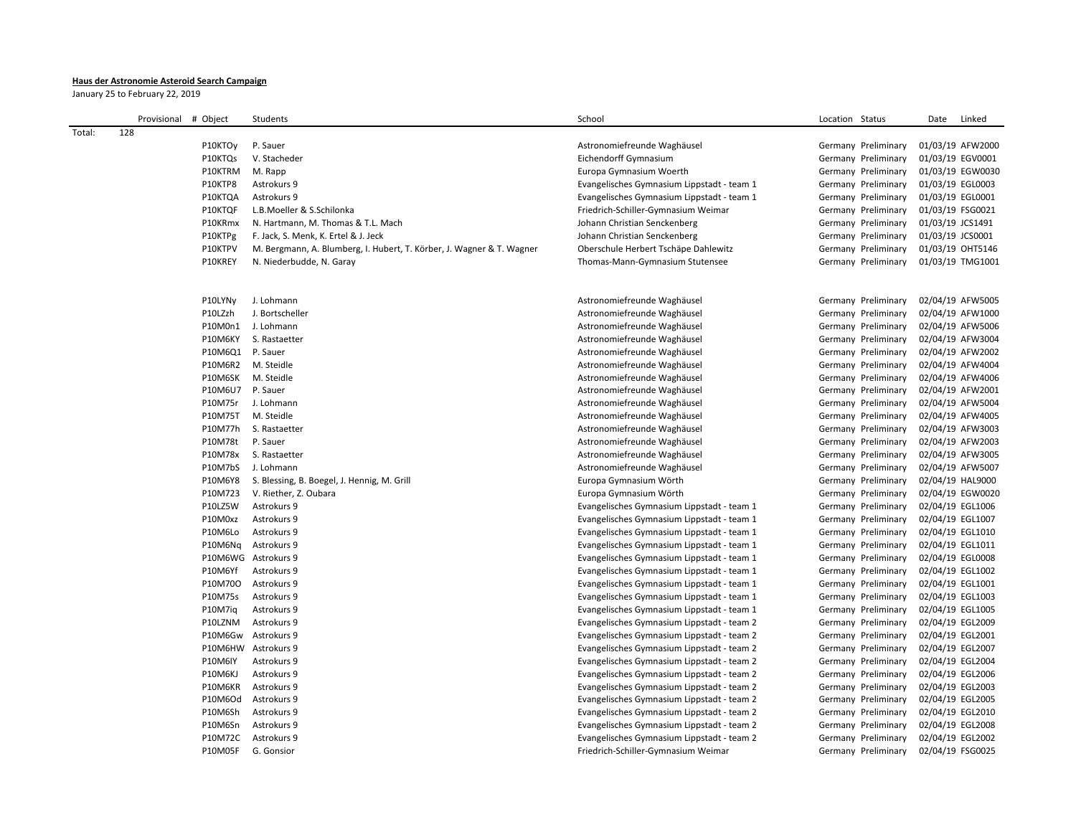## **Haus der Astronomie Asteroid Search Campaign**

January 25 to February 22, 2019

|        | Provisional | # Object            | Students                                                              | School                                     | Location Status     | Date<br>Linked   |
|--------|-------------|---------------------|-----------------------------------------------------------------------|--------------------------------------------|---------------------|------------------|
| Total: | 128         |                     |                                                                       |                                            |                     |                  |
|        |             | P10KTOy             | P. Sauer                                                              | Astronomiefreunde Waghäusel                | Germany Preliminary | 01/03/19 AFW2000 |
|        |             | P10KTQs             | V. Stacheder                                                          | Eichendorff Gymnasium                      | Germany Preliminary | 01/03/19 EGV0001 |
|        |             | P10KTRM             | M. Rapp                                                               | Europa Gymnasium Woerth                    | Germany Preliminary | 01/03/19 EGW0030 |
|        |             | P10KTP8             | Astrokurs 9                                                           | Evangelisches Gymnasium Lippstadt - team 1 | Germany Preliminary | 01/03/19 EGL0003 |
|        |             | P10KTQA             | Astrokurs 9                                                           | Evangelisches Gymnasium Lippstadt - team 1 | Germany Preliminary | 01/03/19 EGL0001 |
|        |             | P10KTQF             | L.B.Moeller & S.Schilonka                                             | Friedrich-Schiller-Gymnasium Weimar        | Germany Preliminary | 01/03/19 FSG0021 |
|        |             | P10KRmx             | N. Hartmann, M. Thomas & T.L. Mach                                    | Johann Christian Senckenberg               | Germany Preliminary | 01/03/19 JCS1491 |
|        |             | P10KTPg             | F. Jack, S. Menk, K. Ertel & J. Jeck                                  | Johann Christian Senckenberg               | Germany Preliminary | 01/03/19 JCS0001 |
|        |             | P10KTPV             | M. Bergmann, A. Blumberg, I. Hubert, T. Körber, J. Wagner & T. Wagner | Oberschule Herbert Tschäpe Dahlewitz       | Germany Preliminary | 01/03/19 OHT5146 |
|        |             | P10KREY             | N. Niederbudde, N. Garay                                              | Thomas-Mann-Gymnasium Stutensee            | Germany Preliminary | 01/03/19 TMG1001 |
|        |             |                     |                                                                       |                                            |                     |                  |
|        |             | P10LYN <sub>V</sub> | J. Lohmann                                                            | Astronomiefreunde Waghäusel                | Germany Preliminary | 02/04/19 AFW5005 |
|        |             | P10LZzh             | J. Bortscheller                                                       | Astronomiefreunde Waghäusel                | Germany Preliminary | 02/04/19 AFW1000 |
|        |             | P10M0n1             | J. Lohmann                                                            | Astronomiefreunde Waghäusel                | Germany Preliminary | 02/04/19 AFW5006 |
|        |             | P10M6KY             | S. Rastaetter                                                         | Astronomiefreunde Waghäusel                | Germany Preliminary | 02/04/19 AFW3004 |
|        |             | P10M6Q1             | P. Sauer                                                              | Astronomiefreunde Waghäusel                | Germany Preliminary | 02/04/19 AFW2002 |
|        |             | P10M6R2             | M. Steidle                                                            | Astronomiefreunde Waghäusel                | Germany Preliminary | 02/04/19 AFW4004 |
|        |             | P10M6SK             | M. Steidle                                                            | Astronomiefreunde Waghäusel                | Germany Preliminary | 02/04/19 AFW4006 |
|        |             | P10M6U7             | P. Sauer                                                              | Astronomiefreunde Waghäusel                | Germany Preliminary | 02/04/19 AFW2001 |
|        |             | P10M75r             | J. Lohmann                                                            | Astronomiefreunde Waghäusel                | Germany Preliminary | 02/04/19 AFW5004 |
|        |             | P10M75T             | M. Steidle                                                            | Astronomiefreunde Waghäusel                | Germany Preliminary | 02/04/19 AFW4005 |
|        |             | P10M77h             | S. Rastaetter                                                         | Astronomiefreunde Waghäusel                | Germany Preliminary | 02/04/19 AFW3003 |
|        |             | P10M78t             | P. Sauer                                                              | Astronomiefreunde Waghäusel                | Germany Preliminary | 02/04/19 AFW2003 |
|        |             | P10M78x             | S. Rastaetter                                                         | Astronomiefreunde Waghäusel                | Germany Preliminary | 02/04/19 AFW3005 |
|        |             | P10M7bS             | J. Lohmann                                                            | Astronomiefreunde Waghäusel                | Germany Preliminary | 02/04/19 AFW5007 |
|        |             | P10M6Y8             | S. Blessing, B. Boegel, J. Hennig, M. Grill                           | Europa Gymnasium Wörth                     | Germany Preliminary | 02/04/19 HAL9000 |
|        |             | P10M723             | V. Riether, Z. Oubara                                                 | Europa Gymnasium Wörth                     | Germany Preliminary | 02/04/19 EGW0020 |
|        |             | P10LZ5W             | Astrokurs 9                                                           | Evangelisches Gymnasium Lippstadt - team 1 | Germany Preliminary | 02/04/19 EGL1006 |
|        |             | P10M0xz             | Astrokurs 9                                                           | Evangelisches Gymnasium Lippstadt - team 1 | Germany Preliminary | 02/04/19 EGL1007 |
|        |             | P10M6Lo             | Astrokurs 9                                                           | Evangelisches Gymnasium Lippstadt - team 1 | Germany Preliminary | 02/04/19 EGL1010 |
|        |             | P10M6Nq             | Astrokurs 9                                                           | Evangelisches Gymnasium Lippstadt - team 1 | Germany Preliminary | 02/04/19 EGL1011 |
|        |             |                     | P10M6WG Astrokurs 9                                                   | Evangelisches Gymnasium Lippstadt - team 1 | Germany Preliminary | 02/04/19 EGL0008 |
|        |             | P10M6Yf             | Astrokurs 9                                                           | Evangelisches Gymnasium Lippstadt - team 1 | Germany Preliminary | 02/04/19 EGL1002 |
|        |             | P10M70O             | Astrokurs 9                                                           | Evangelisches Gymnasium Lippstadt - team 1 | Germany Preliminary | 02/04/19 EGL1001 |
|        |             | P10M75s             | Astrokurs 9                                                           | Evangelisches Gymnasium Lippstadt - team 1 | Germany Preliminary | 02/04/19 EGL1003 |
|        |             | P10M7iq             | Astrokurs 9                                                           | Evangelisches Gymnasium Lippstadt - team 1 | Germany Preliminary | 02/04/19 EGL1005 |
|        |             | P10LZNM             | Astrokurs 9                                                           | Evangelisches Gymnasium Lippstadt - team 2 | Germany Preliminary | 02/04/19 EGL2009 |
|        |             | P10M6Gw             | Astrokurs 9                                                           | Evangelisches Gymnasium Lippstadt - team 2 | Germany Preliminary | 02/04/19 EGL2001 |
|        |             |                     | P10M6HW Astrokurs 9                                                   | Evangelisches Gymnasium Lippstadt - team 2 | Germany Preliminary | 02/04/19 EGL2007 |
|        |             | P10M6IY             | Astrokurs 9                                                           | Evangelisches Gymnasium Lippstadt - team 2 | Germany Preliminary | 02/04/19 EGL2004 |
|        |             | P10M6KJ             | Astrokurs 9                                                           | Evangelisches Gymnasium Lippstadt - team 2 | Germany Preliminary | 02/04/19 EGL2006 |
|        |             | P10M6KR             | Astrokurs 9                                                           | Evangelisches Gymnasium Lippstadt - team 2 | Germany Preliminary | 02/04/19 EGL2003 |
|        |             | P10M6Od             | Astrokurs 9                                                           | Evangelisches Gymnasium Lippstadt - team 2 | Germany Preliminary | 02/04/19 EGL2005 |
|        |             | P10M6Sh             | Astrokurs 9                                                           | Evangelisches Gymnasium Lippstadt - team 2 | Germany Preliminary | 02/04/19 EGL2010 |
|        |             | P10M6Sn             | Astrokurs 9                                                           | Evangelisches Gymnasium Lippstadt - team 2 | Germany Preliminary | 02/04/19 EGL2008 |
|        |             | P10M72C             | Astrokurs 9                                                           | Evangelisches Gymnasium Lippstadt - team 2 | Germany Preliminary | 02/04/19 EGL2002 |
|        |             | P10M05F             | G. Gonsior                                                            | Friedrich-Schiller-Gymnasium Weimar        | Germany Preliminary | 02/04/19 FSG0025 |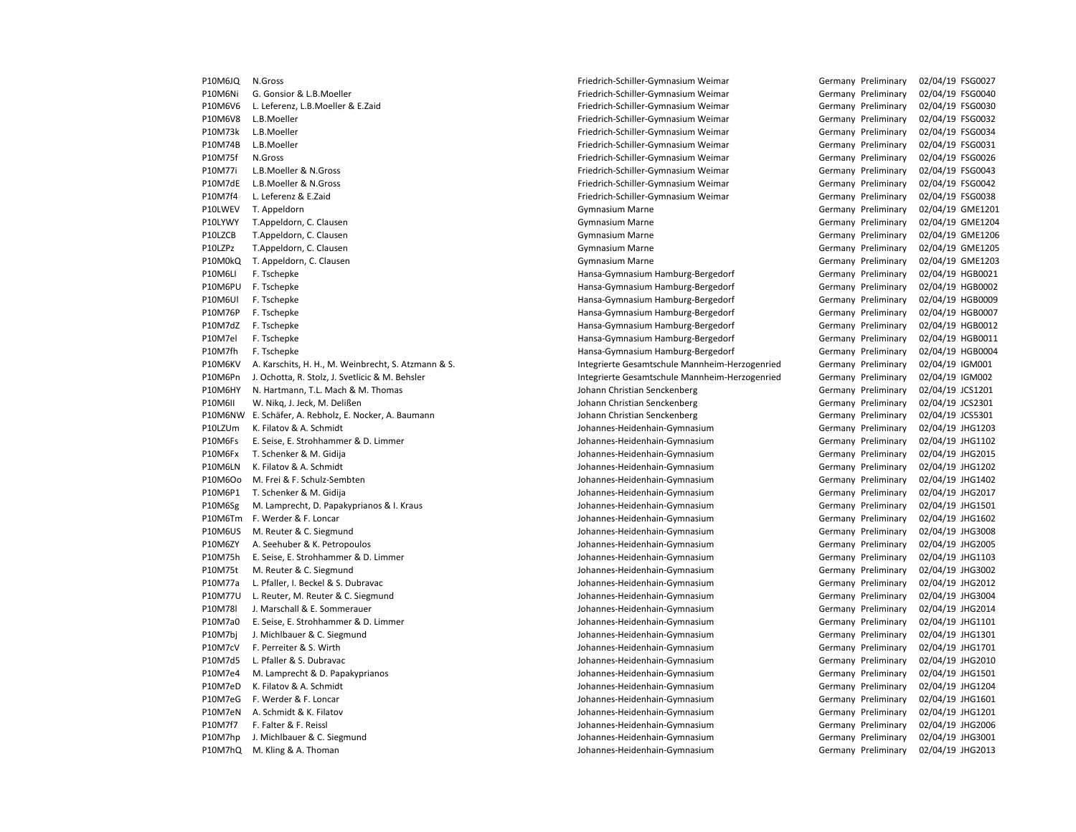P10M6Ni G. Gonsior & L.B.Moeller Consumer Friedrich-Schiller-Gymnasium Weimar Germany Preliminary 02/04/19 FSG0040 P10M6V6 L. Leferenz, L.B.Moeller & E.Zaid Friedrich-Schiller-Gymnasium Weimar Germany Preliminary 02/04/19 FSG0030 P10M6V8 L.B.Moeller Friedrich-Schiller-Gymnasium Weimar Germany Preliminary 02/04/19 FSG0032 P10M73k L.B.Moeller Friedrich-Schiller-Gymnasium Weimar Germany Preliminary 02/04/19 FSG0034 P10M74B L.B.Moeller Friedrich-Schiller-Gymnasium Weimar Germany Preliminary 02/04/19 FSG0031 P10M75f N.Gross Friedrich-Schiller-Gymnasium Weimar Germany Preliminary 02/04/19 FSG0026 P10M77i L.B.Moeller & N.Gross Friedrich-Schiller-Gymnasium Weimar Germany Preliminary 02/04/19 FSG0043 P10M7dE L.B.Moeller & N.Gross Friedrich-Schiller-Gymnasium Weimar Germany Preliminary 02/04/19 FSG0042 P10M7f4 L. Leferenz & E.Zaid Friedrich-Schiller-Gymnasium Weimar Germany Preliminary 02/04/19 FSG0038 P10LWEV T. Appeldorn COME1201 CHA CHANGER Gymnasium Marne Communication Communication Communication COME1201 P10LYWY T.Appeldorn, C. Clausen Gymnasium Marne Germany Preliminary 02/04/19 GME1204 P10LZCB T.Appeldorn, C. Clausen Germany Preliminary 02/04/19 GME1206 P10LZPz T.Appeldorn, C. Clausen Germany Preliminary 02/04/19 GME1205 P10M0kQ T. Appeldorn, C. Clausen Germany Command Gymnasium Marne Gymnasium Marne Germany Preliminary 02/04/19 GME1203 P10M6LI F. Tschepke Hansa-Gymnasium Hamburg-Bergedorf Germany Preliminary 02/04/19 HGB0021 P10M6PU F. Tschepke Hansa-Gymnasium Hamburg-Bergedorf Germany Preliminary 02/04/19 HGB0002 P10M6Ul F. Tschepke Hansa-Gymnasium Hamburg-Bergedorf Germany Preliminary 02/04/19 HGB0009 P10M76P F. Tschepke Hansa-Gymnasium Hamburg-Bergedorf Germany Preliminary 02/04/19 HGB0007 P10M7dZ F. Tschepke Hansa-Gymnasium Hamburg-Bergedorf Germany Preliminary 02/04/19 HGB0012 P10M7el F. Tschepke Hansa-Gymnasium Hamburg-Bergedorf Germany Preliminary 02/04/19 HGB0011 P10M7fh F. Tschepke Hansa-Gymnasium Hamburg-Bergedorf Germany Preliminary 02/04/19 HGB0004 P10M6KV A. Karschits, H. H., M. Weinbrecht, S. Atzmann & S. Integrierte Gesamtschule Mannheim-Herzogenried Germany Preliminary 02/04/19 IGM001 P10M6Pn J. Ochotta, R. Stolz, J. Svetlicic & M. Behsler Integrierte Gesamtschule Mannheim-Herzogenried Germany Preliminary 02/04/19 IGM002 P10M6HY N. Hartmann, T.L. Mach & M. Thomas Johann Christian Senckenberg Germany Preliminary 02/04/19 JCS1201 P10M6II W. Nikg, J. Jeck, M. Delißen Johann Christian Senckenberg Germany Preliminary 02/04/19 JCS2301 P10M6NW E. Schäfer, A. Rebholz, E. Nocker, A. Baumann Johann Christian Senckenberg Germany Preliminary 02/04/19 JCS5301 P10LZUm K. Filatov & A. Schmidt Johannes-Heidenhain-Gymnasium Germany Preliminary 02/04/19 JHG1203 P10M6Fs E. Seise, E. Strohhammer & D. Limmer Johannes-Heidenhain-Gymnasium Germany Preliminary 02/04/19 JHG1102 P10M6Fx T. Schenker & M. Gidija Johannes-Heidenhain-Gymnasium Germany Preliminary 02/04/19 JHG2015 P10M6LN K. Filatov & A. Schmidt Johannes-Heidenhain-Gymnasium Germany Preliminary 02/04/19 JHG1202 P10M6Oo M. Frei & F. Schulz-Sembten Johannes-Heidenhain-Gymnasium Germany Preliminary 02/04/19 JHG1402 P10M6P1 T. Schenker & M. Gidija Johannes-Heidenhain-Gymnasium Germany Preliminary 02/04/19 JHG2017 P10M6Sg M. Lamprecht, D. Papakyprianos & I. Kraus Johannes-Heidenhain-Gymnasium Germany Preliminary 02/04/19 JHG1501 P10M6Tm F. Werder & F. Loncar Johannes-Heidenhain-Gymnasium Germany Preliminary 02/04/19 JHG1602 P10M6US M. Reuter & C. Siegmund Johannes-Heidenhain-Gymnasium Germany Preliminary 02/04/19 JHG3008 P10M6ZY A. Seehuber & K. Petropoulos Johannes-Heidenhain-Gymnasium Germany Preliminary 02/04/19 JHG2005 P10M75h E. Seise, E. Strohhammer & D. Limmer Johannes-Heidenhain-Gymnasium Germany Preliminary 02/04/19 JHG1103 P10M75t M. Reuter & C. Siegmund Johannes-Heidenhain-Gymnasium Germany Preliminary 02/04/19 JHG3002 P10M77a L. Pfaller, I. Beckel & S. Dubravac Johannes-Heidenhain-Gymnasium Germany Preliminary 02/04/19 JHG2012 P10M77U L. Reuter, M. Reuter & C. Siegmund Johannes-Heidenhain-Gymnasium Germany Preliminary 02/04/19 JHG3004 P10M78l J. Marschall & E. Sommerauer Johannes-Heidenhain-Gymnasium Germany Preliminary 02/04/19 JHG2014 P10M7a0 E. Seise, E. Strohhammer & D. Limmer Johannes-Heidenhain-Gymnasium Germany Preliminary 02/04/19 JHG1101 P10M7bj J. Michlbauer & C. Siegmund Johannes-Heidenhain-Gymnasium Germany Preliminary 02/04/19 JHG1301 P10M7cV F. Perreiter & S. Wirth Johannes-Heidenhain-Gymnasium Germany Preliminary 02/04/19 JHG1701 P10M7d5 L. Pfaller & S. Dubravac Johannes-Heidenhain-Gymnasium Germany Preliminary 02/04/19 JHG2010 P10M7e4 M. Lamprecht & D. Papakyprianos Johannes-Heidenhain-Gymnasium Germany Preliminary 02/04/19 JHG1501 P10M7eD K. Filatov & A. Schmidt Johannes-Heidenhain-Gymnasium Germany Preliminary 02/04/19 JHG1204 P10M7eG F. Werder & F. Loncar Johannes-Heidenhain-Gymnasium Germany Preliminary 02/04/19 JHG1601 P10M7eN A. Schmidt & K. Filatov Johannes-Heidenhain-Gymnasium Germany Preliminary 02/04/19 JHG1201 P10M7f7 F. Falter & F. Reissl Johannes-Heidenhain-Gymnasium Germany Preliminary 02/04/19 JHG2006 P10M7hp J. Michlbauer & C. Siegmund Johannes-Heidenhain-Gymnasium Germany Preliminary 02/04/19 JHG3001 P10M7hQ M. Kling & A. Thoman Johannes-Heidenhain-Gymnasium Germany Preliminary 02/04/19 JHG2013

P10M6JQ N.Gross Friedrich-Schiller-Gymnasium Weimar Germany Preliminary 02/04/19 FSG0027